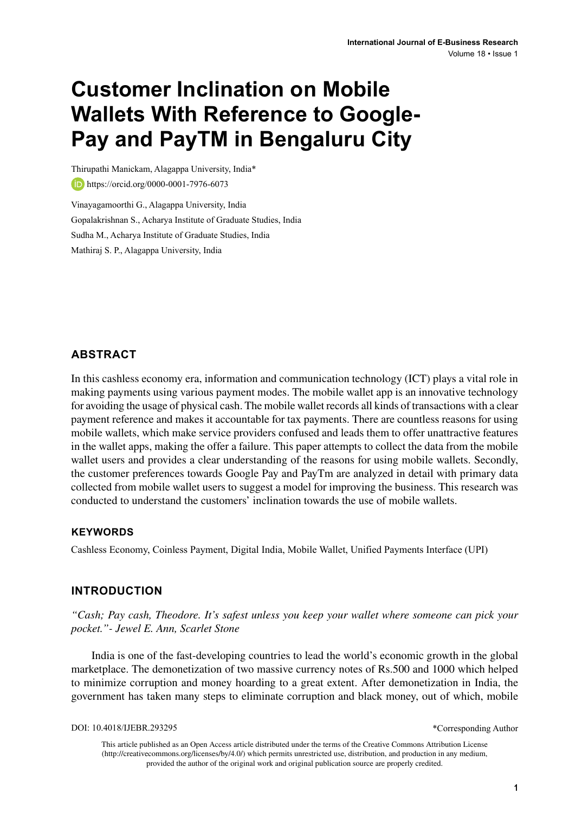# **Customer Inclination on Mobile Wallets With Reference to Google-Pay and PayTM in Bengaluru City**

Thirupathi Manickam, Alagappa University, India\* https://orcid.org/0000-0001-7976-6073 Vinayagamoorthi G., Alagappa University, India

Gopalakrishnan S., Acharya Institute of Graduate Studies, India Sudha M., Acharya Institute of Graduate Studies, India

Mathiraj S. P., Alagappa University, India

#### **ABSTRACT**

In this cashless economy era, information and communication technology (ICT) plays a vital role in making payments using various payment modes. The mobile wallet app is an innovative technology for avoiding the usage of physical cash. The mobile wallet records all kinds of transactions with a clear payment reference and makes it accountable for tax payments. There are countless reasons for using mobile wallets, which make service providers confused and leads them to offer unattractive features in the wallet apps, making the offer a failure. This paper attempts to collect the data from the mobile wallet users and provides a clear understanding of the reasons for using mobile wallets. Secondly, the customer preferences towards Google Pay and PayTm are analyzed in detail with primary data collected from mobile wallet users to suggest a model for improving the business. This research was conducted to understand the customers' inclination towards the use of mobile wallets.

#### **Keywords**

Cashless Economy, Coinless Payment, Digital India, Mobile Wallet, Unified Payments Interface (UPI)

#### **INTRODUCTION**

*"Cash; Pay cash, Theodore. It's safest unless you keep your wallet where someone can pick your pocket."- Jewel E. Ann, Scarlet Stone*

India is one of the fast-developing countries to lead the world's economic growth in the global marketplace. The demonetization of two massive currency notes of Rs.500 and 1000 which helped to minimize corruption and money hoarding to a great extent. After demonetization in India, the government has taken many steps to eliminate corruption and black money, out of which, mobile

DOI: 10.4018/IJEBR.293295

\*Corresponding Author

This article published as an Open Access article distributed under the terms of the Creative Commons Attribution License (http://creativecommons.org/licenses/by/4.0/) which permits unrestricted use, distribution, and production in any medium, provided the author of the original work and original publication source are properly credited.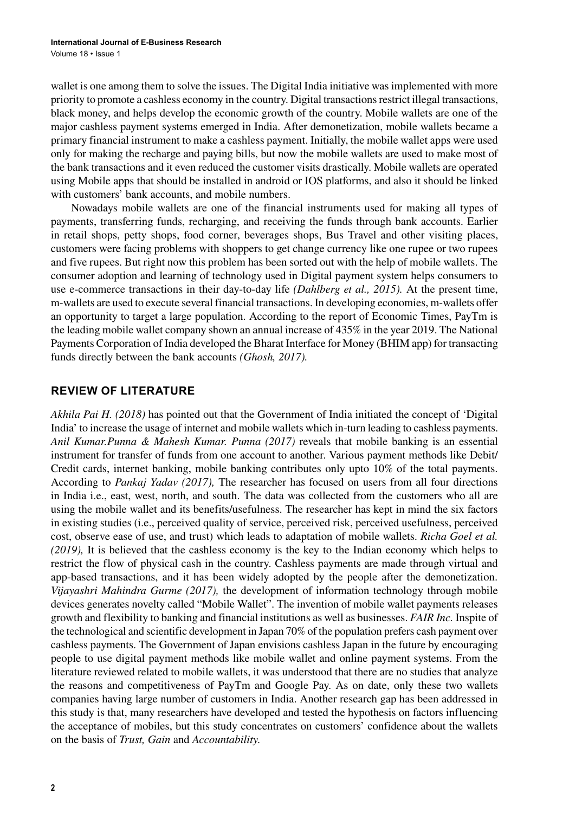wallet is one among them to solve the issues. The Digital India initiative was implemented with more priority to promote a cashless economy in the country. Digital transactions restrict illegal transactions, black money, and helps develop the economic growth of the country. Mobile wallets are one of the major cashless payment systems emerged in India. After demonetization, mobile wallets became a primary financial instrument to make a cashless payment. Initially, the mobile wallet apps were used only for making the recharge and paying bills, but now the mobile wallets are used to make most of the bank transactions and it even reduced the customer visits drastically. Mobile wallets are operated using Mobile apps that should be installed in android or IOS platforms, and also it should be linked with customers' bank accounts, and mobile numbers.

Nowadays mobile wallets are one of the financial instruments used for making all types of payments, transferring funds, recharging, and receiving the funds through bank accounts. Earlier in retail shops, petty shops, food corner, beverages shops, Bus Travel and other visiting places, customers were facing problems with shoppers to get change currency like one rupee or two rupees and five rupees. But right now this problem has been sorted out with the help of mobile wallets. The consumer adoption and learning of technology used in Digital payment system helps consumers to use e-commerce transactions in their day-to-day life *(Dahlberg et al., 2015).* At the present time, m-wallets are used to execute several financial transactions. In developing economies, m-wallets offer an opportunity to target a large population. According to the report of Economic Times, PayTm is the leading mobile wallet company shown an annual increase of 435% in the year 2019. The National Payments Corporation of India developed the Bharat Interface for Money (BHIM app) for transacting funds directly between the bank accounts *(Ghosh, 2017).*

### **REVIEW OF LITERATURE**

*Akhila Pai H. (2018)* has pointed out that the Government of India initiated the concept of 'Digital India' to increase the usage of internet and mobile wallets which in-turn leading to cashless payments. *Anil Kumar.Punna & Mahesh Kumar. Punna (2017)* reveals that mobile banking is an essential instrument for transfer of funds from one account to another. Various payment methods like Debit/ Credit cards, internet banking, mobile banking contributes only upto 10% of the total payments. According to *Pankaj Yadav (2017),* The researcher has focused on users from all four directions in India i.e., east, west, north, and south. The data was collected from the customers who all are using the mobile wallet and its benefits/usefulness. The researcher has kept in mind the six factors in existing studies (i.e., perceived quality of service, perceived risk, perceived usefulness, perceived cost, observe ease of use, and trust) which leads to adaptation of mobile wallets. *Richa Goel et al. (2019),* It is believed that the cashless economy is the key to the Indian economy which helps to restrict the flow of physical cash in the country. Cashless payments are made through virtual and app-based transactions, and it has been widely adopted by the people after the demonetization. *Vijayashri Mahindra Gurme (2017),* the development of information technology through mobile devices generates novelty called "Mobile Wallet". The invention of mobile wallet payments releases growth and flexibility to banking and financial institutions as well as businesses. *FAIR Inc.* Inspite of the technological and scientific development in Japan 70% of the population prefers cash payment over cashless payments. The Government of Japan envisions cashless Japan in the future by encouraging people to use digital payment methods like mobile wallet and online payment systems. From the literature reviewed related to mobile wallets, it was understood that there are no studies that analyze the reasons and competitiveness of PayTm and Google Pay. As on date, only these two wallets companies having large number of customers in India. Another research gap has been addressed in this study is that, many researchers have developed and tested the hypothesis on factors influencing the acceptance of mobiles, but this study concentrates on customers' confidence about the wallets on the basis of *Trust, Gain* and *Accountability.*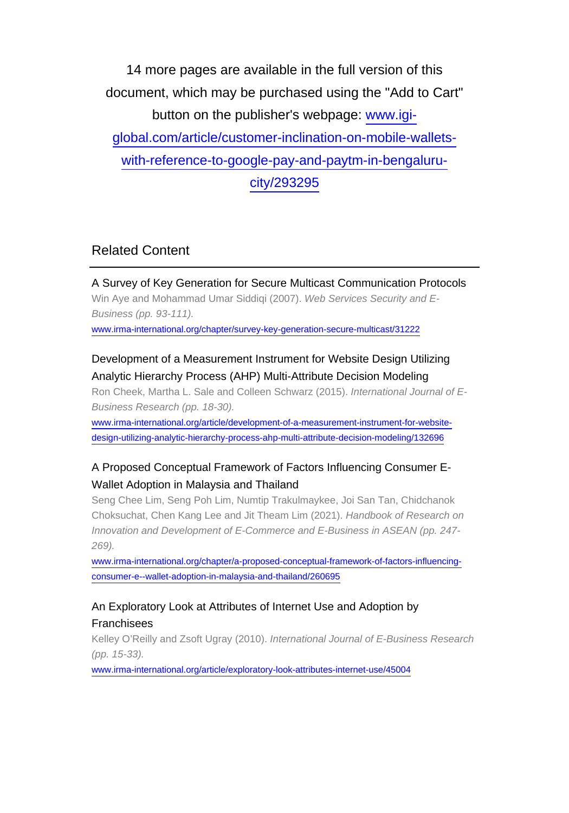14 more pages are available in the full version of this document, which may be purchased using the "Add to Cart" button on the publisher's webpage: [www.igi](http://www.igi-global.com/article/customer-inclination-on-mobile-wallets-with-reference-to-google-pay-and-paytm-in-bengaluru-city/293295)[global.com/article/customer-inclination-on-mobile-wallets](http://www.igi-global.com/article/customer-inclination-on-mobile-wallets-with-reference-to-google-pay-and-paytm-in-bengaluru-city/293295)[with-reference-to-google-pay-and-paytm-in-bengaluru](http://www.igi-global.com/article/customer-inclination-on-mobile-wallets-with-reference-to-google-pay-and-paytm-in-bengaluru-city/293295)[city/293295](http://www.igi-global.com/article/customer-inclination-on-mobile-wallets-with-reference-to-google-pay-and-paytm-in-bengaluru-city/293295)

# Related Content

A Survey of Key Generation for Secure Multicast Communication Protocols Win Aye and Mohammad Umar Siddiqi (2007). Web Services Security and E-Business (pp. 93-111). [www.irma-international.org/chapter/survey-key-generation-secure-multicast/31222](http://www.irma-international.org/chapter/survey-key-generation-secure-multicast/31222)

## Development of a Measurement Instrument for Website Design Utilizing Analytic Hierarchy Process (AHP) Multi-Attribute Decision Modeling

Ron Cheek, Martha L. Sale and Colleen Schwarz (2015). International Journal of E-Business Research (pp. 18-30).

[www.irma-international.org/article/development-of-a-measurement-instrument-for-website](http://www.irma-international.org/article/development-of-a-measurement-instrument-for-website-design-utilizing-analytic-hierarchy-process-ahp-multi-attribute-decision-modeling/132696)[design-utilizing-analytic-hierarchy-process-ahp-multi-attribute-decision-modeling/132696](http://www.irma-international.org/article/development-of-a-measurement-instrument-for-website-design-utilizing-analytic-hierarchy-process-ahp-multi-attribute-decision-modeling/132696)

# A Proposed Conceptual Framework of Factors Influencing Consumer E-Wallet Adoption in Malaysia and Thailand

Seng Chee Lim, Seng Poh Lim, Numtip Trakulmaykee, Joi San Tan, Chidchanok Choksuchat, Chen Kang Lee and Jit Theam Lim (2021). Handbook of Research on Innovation and Development of E-Commerce and E-Business in ASEAN (pp. 247- 269).

[www.irma-international.org/chapter/a-proposed-conceptual-framework-of-factors-influencing](http://www.irma-international.org/chapter/a-proposed-conceptual-framework-of-factors-influencing-consumer-e--wallet-adoption-in-malaysia-and-thailand/260695)[consumer-e--wallet-adoption-in-malaysia-and-thailand/260695](http://www.irma-international.org/chapter/a-proposed-conceptual-framework-of-factors-influencing-consumer-e--wallet-adoption-in-malaysia-and-thailand/260695)

#### An Exploratory Look at Attributes of Internet Use and Adoption by Franchisees

Kelley O'Reilly and Zsoft Ugray (2010). International Journal of E-Business Research (pp. 15-33).

[www.irma-international.org/article/exploratory-look-attributes-internet-use/45004](http://www.irma-international.org/article/exploratory-look-attributes-internet-use/45004)